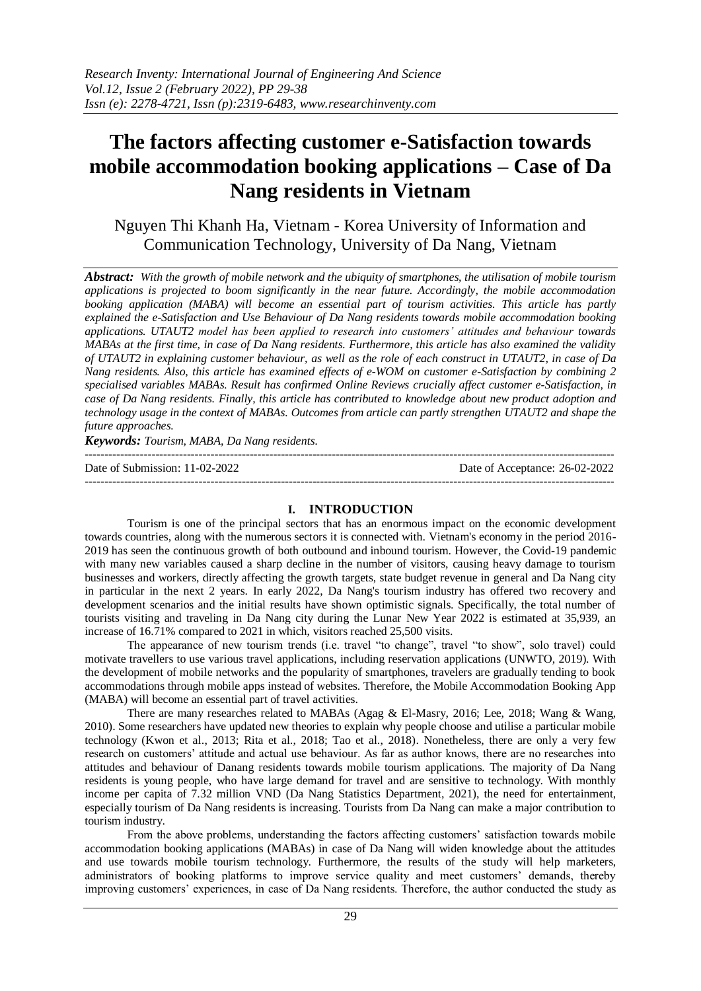# **The factors affecting customer e-Satisfaction towards mobile accommodation booking applications – Case of Da Nang residents in Vietnam**

Nguyen Thi Khanh Ha, Vietnam - Korea University of Information and Communication Technology, University of Da Nang, Vietnam

*Abstract: With the growth of mobile network and the ubiquity of smartphones, the utilisation of mobile tourism applications is projected to boom significantly in the near future. Accordingly, the mobile accommodation booking application (MABA) will become an essential part of tourism activities. This article has partly explained the e-Satisfaction and Use Behaviour of Da Nang residents towards mobile accommodation booking applications. UTAUT2 model has been applied to research into customers' attitudes and behaviour towards MABAs at the first time, in case of Da Nang residents. Furthermore, this article has also examined the validity of UTAUT2 in explaining customer behaviour, as well as the role of each construct in UTAUT2, in case of Da Nang residents. Also, this article has examined effects of e-WOM on customer e-Satisfaction by combining 2 specialised variables MABAs. Result has confirmed Online Reviews crucially affect customer e-Satisfaction, in case of Da Nang residents. Finally, this article has contributed to knowledge about new product adoption and technology usage in the context of MABAs. Outcomes from article can partly strengthen UTAUT2 and shape the future approaches.*

*Keywords: Tourism, MABA, Da Nang residents.*

--------------------------------------------------------------------------------------------------------------------------------------- Date of Submission: 11-02-2022 Date of Acceptance: 26-02-2022 ---------------------------------------------------------------------------------------------------------------------------------------

## **I. INTRODUCTION**

Tourism is one of the principal sectors that has an enormous impact on the economic development towards countries, along with the numerous sectors it is connected with. Vietnam's economy in the period 2016- 2019 has seen the continuous growth of both outbound and inbound tourism. However, the Covid-19 pandemic with many new variables caused a sharp decline in the number of visitors, causing heavy damage to tourism businesses and workers, directly affecting the growth targets, state budget revenue in general and Da Nang city in particular in the next 2 years. In early 2022, Da Nang's tourism industry has offered two recovery and development scenarios and the initial results have shown optimistic signals. Specifically, the total number of tourists visiting and traveling in Da Nang city during the Lunar New Year 2022 is estimated at 35,939, an increase of 16.71% compared to 2021 in which, visitors reached 25,500 visits.

The appearance of new tourism trends (i.e. travel "to change", travel "to show", solo travel) could motivate travellers to use various travel applications, including reservation applications (UNWTO, 2019). With the development of mobile networks and the popularity of smartphones, travelers are gradually tending to book accommodations through mobile apps instead of websites. Therefore, the Mobile Accommodation Booking App (MABA) will become an essential part of travel activities.

There are many researches related to MABAs (Agag & El-Masry, 2016; Lee, 2018; Wang & Wang, 2010). Some researchers have updated new theories to explain why people choose and utilise a particular mobile technology (Kwon et al., 2013; Rita et al., 2018; Tao et al., 2018). Nonetheless, there are only a very few research on customers' attitude and actual use behaviour. As far as author knows, there are no researches into attitudes and behaviour of Danang residents towards mobile tourism applications. The majority of Da Nang residents is young people, who have large demand for travel and are sensitive to technology. With monthly income per capita of 7.32 million VND (Da Nang Statistics Department, 2021), the need for entertainment, especially tourism of Da Nang residents is increasing. Tourists from Da Nang can make a major contribution to tourism industry.

From the above problems, understanding the factors affecting customers' satisfaction towards mobile accommodation booking applications (MABAs) in case of Da Nang will widen knowledge about the attitudes and use towards mobile tourism technology. Furthermore, the results of the study will help marketers, administrators of booking platforms to improve service quality and meet customers' demands, thereby improving customers' experiences, in case of Da Nang residents. Therefore, the author conducted the study as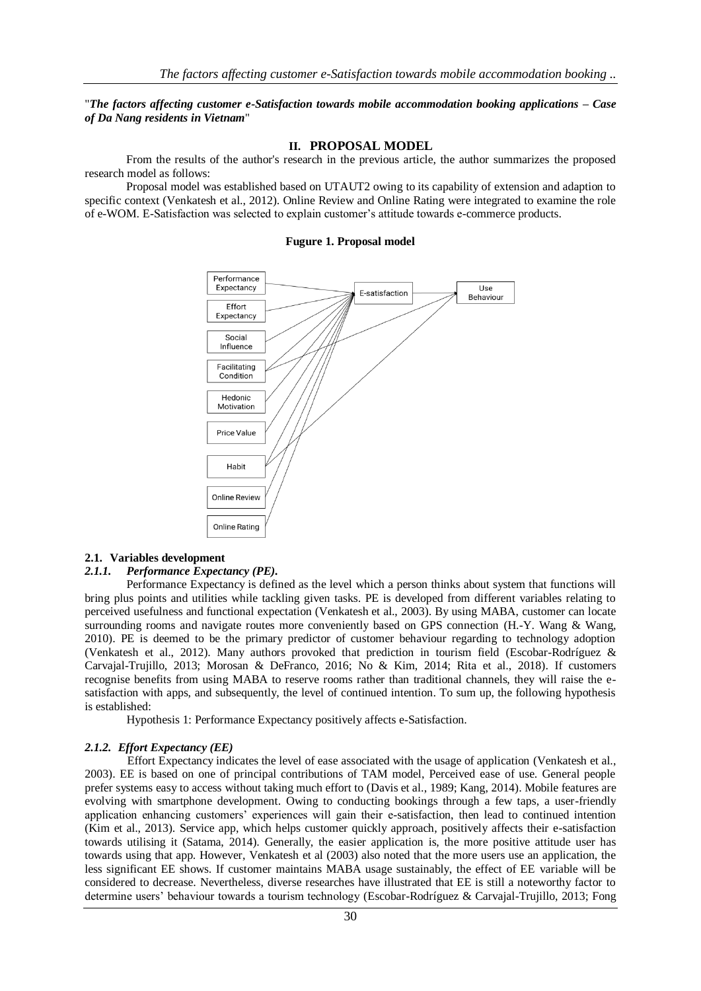#### "*The factors affecting customer e-Satisfaction towards mobile accommodation booking applications – Case of Da Nang residents in Vietnam*"

#### **II. PROPOSAL MODEL**

From the results of the author's research in the previous article, the author summarizes the proposed research model as follows:

Proposal model was established based on UTAUT2 owing to its capability of extension and adaption to specific context (Venkatesh et al., 2012). Online Review and Online Rating were integrated to examine the role of e-WOM. E-Satisfaction was selected to explain customer's attitude towards e-commerce products.

#### **Fugure 1. Proposal model**



#### **2.1. Variables development**

#### *2.1.1. Performance Expectancy (PE).*

Performance Expectancy is defined as the level which a person thinks about system that functions will bring plus points and utilities while tackling given tasks. PE is developed from different variables relating to perceived usefulness and functional expectation (Venkatesh et al., 2003). By using MABA, customer can locate surrounding rooms and navigate routes more conveniently based on GPS connection (H.-Y. Wang & Wang, 2010). PE is deemed to be the primary predictor of customer behaviour regarding to technology adoption (Venkatesh et al., 2012). Many authors provoked that prediction in tourism field (Escobar-Rodríguez & Carvajal-Trujillo, 2013; Morosan & DeFranco, 2016; No & Kim, 2014; Rita et al., 2018). If customers recognise benefits from using MABA to reserve rooms rather than traditional channels, they will raise the esatisfaction with apps, and subsequently, the level of continued intention. To sum up, the following hypothesis is established:

Hypothesis 1: Performance Expectancy positively affects e-Satisfaction.

#### *2.1.2. Effort Expectancy (EE)*

Effort Expectancy indicates the level of ease associated with the usage of application (Venkatesh et al., 2003). EE is based on one of principal contributions of TAM model, Perceived ease of use. General people prefer systems easy to access without taking much effort to (Davis et al., 1989; Kang, 2014). Mobile features are evolving with smartphone development. Owing to conducting bookings through a few taps, a user-friendly application enhancing customers' experiences will gain their e-satisfaction, then lead to continued intention (Kim et al., 2013). Service app, which helps customer quickly approach, positively affects their e-satisfaction towards utilising it (Satama, 2014). Generally, the easier application is, the more positive attitude user has towards using that app. However, Venkatesh et al (2003) also noted that the more users use an application, the less significant EE shows. If customer maintains MABA usage sustainably, the effect of EE variable will be considered to decrease. Nevertheless, diverse researches have illustrated that EE is still a noteworthy factor to determine users' behaviour towards a tourism technology (Escobar-Rodríguez & Carvajal-Trujillo, 2013; Fong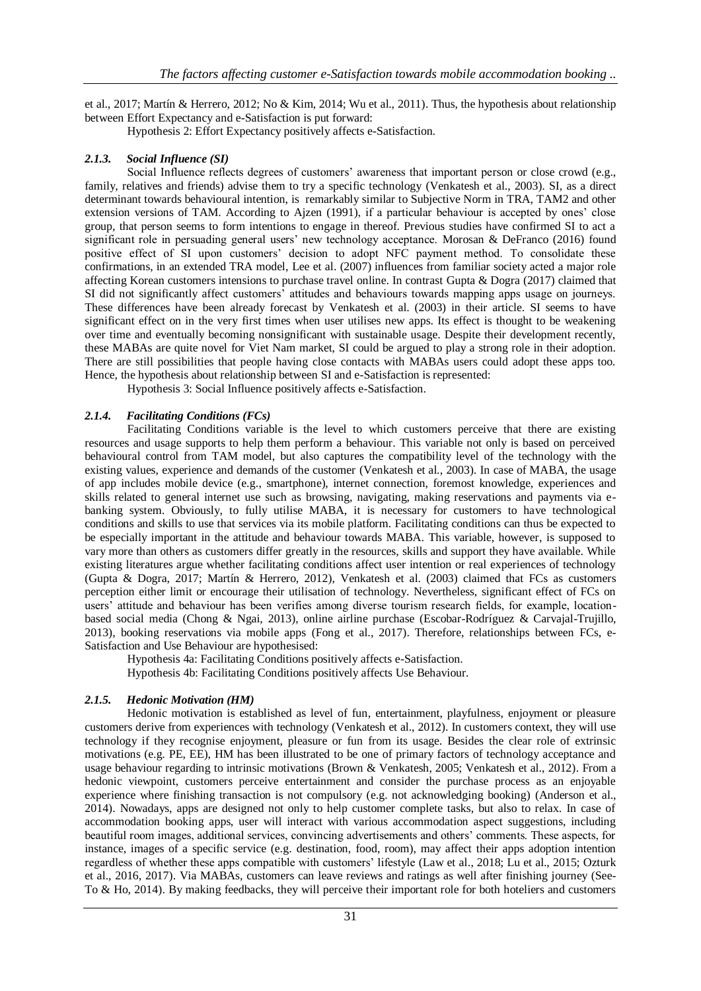et al., 2017; Martín & Herrero, 2012; No & Kim, 2014; Wu et al., 2011). Thus, the hypothesis about relationship between Effort Expectancy and e-Satisfaction is put forward:

Hypothesis 2: Effort Expectancy positively affects e-Satisfaction.

## *2.1.3. Social Influence (SI)*

Social Influence reflects degrees of customers' awareness that important person or close crowd (e.g., family, relatives and friends) advise them to try a specific technology (Venkatesh et al., 2003). SI, as a direct determinant towards behavioural intention, is remarkably similar to Subjective Norm in TRA, TAM2 and other extension versions of TAM. According to Ajzen (1991), if a particular behaviour is accepted by ones' close group, that person seems to form intentions to engage in thereof. Previous studies have confirmed SI to act a significant role in persuading general users' new technology acceptance. Morosan & DeFranco (2016) found positive effect of SI upon customers' decision to adopt NFC payment method. To consolidate these confirmations, in an extended TRA model, Lee et al. (2007) influences from familiar society acted a major role affecting Korean customers intensions to purchase travel online. In contrast Gupta & Dogra (2017) claimed that SI did not significantly affect customers' attitudes and behaviours towards mapping apps usage on journeys. These differences have been already forecast by Venkatesh et al. (2003) in their article. SI seems to have significant effect on in the very first times when user utilises new apps. Its effect is thought to be weakening over time and eventually becoming nonsignificant with sustainable usage. Despite their development recently, these MABAs are quite novel for Viet Nam market, SI could be argued to play a strong role in their adoption. There are still possibilities that people having close contacts with MABAs users could adopt these apps too. Hence, the hypothesis about relationship between SI and e-Satisfaction is represented:

Hypothesis 3: Social Influence positively affects e-Satisfaction.

## *2.1.4. Facilitating Conditions (FCs)*

Facilitating Conditions variable is the level to which customers perceive that there are existing resources and usage supports to help them perform a behaviour. This variable not only is based on perceived behavioural control from TAM model, but also captures the compatibility level of the technology with the existing values, experience and demands of the customer (Venkatesh et al., 2003). In case of MABA, the usage of app includes mobile device (e.g., smartphone), internet connection, foremost knowledge, experiences and skills related to general internet use such as browsing, navigating, making reservations and payments via ebanking system. Obviously, to fully utilise MABA, it is necessary for customers to have technological conditions and skills to use that services via its mobile platform. Facilitating conditions can thus be expected to be especially important in the attitude and behaviour towards MABA. This variable, however, is supposed to vary more than others as customers differ greatly in the resources, skills and support they have available. While existing literatures argue whether facilitating conditions affect user intention or real experiences of technology (Gupta & Dogra, 2017; Martín & Herrero, 2012), Venkatesh et al. (2003) claimed that FCs as customers perception either limit or encourage their utilisation of technology. Nevertheless, significant effect of FCs on users' attitude and behaviour has been verifies among diverse tourism research fields, for example, locationbased social media (Chong & Ngai, 2013), online airline purchase (Escobar-Rodríguez & Carvajal-Trujillo, 2013), booking reservations via mobile apps (Fong et al., 2017). Therefore, relationships between FCs, e-Satisfaction and Use Behaviour are hypothesised:

Hypothesis 4a: Facilitating Conditions positively affects e-Satisfaction.

Hypothesis 4b: Facilitating Conditions positively affects Use Behaviour.

## *2.1.5. Hedonic Motivation (HM)*

Hedonic motivation is established as level of fun, entertainment, playfulness, enjoyment or pleasure customers derive from experiences with technology (Venkatesh et al., 2012). In customers context, they will use technology if they recognise enjoyment, pleasure or fun from its usage. Besides the clear role of extrinsic motivations (e.g. PE, EE), HM has been illustrated to be one of primary factors of technology acceptance and usage behaviour regarding to intrinsic motivations (Brown & Venkatesh, 2005; Venkatesh et al., 2012). From a hedonic viewpoint, customers perceive entertainment and consider the purchase process as an enjoyable experience where finishing transaction is not compulsory (e.g. not acknowledging booking) (Anderson et al., 2014). Nowadays, apps are designed not only to help customer complete tasks, but also to relax. In case of accommodation booking apps, user will interact with various accommodation aspect suggestions, including beautiful room images, additional services, convincing advertisements and others' comments. These aspects, for instance, images of a specific service (e.g. destination, food, room), may affect their apps adoption intention regardless of whether these apps compatible with customers' lifestyle (Law et al., 2018; Lu et al., 2015; Ozturk et al., 2016, 2017). Via MABAs, customers can leave reviews and ratings as well after finishing journey (See-To & Ho, 2014). By making feedbacks, they will perceive their important role for both hoteliers and customers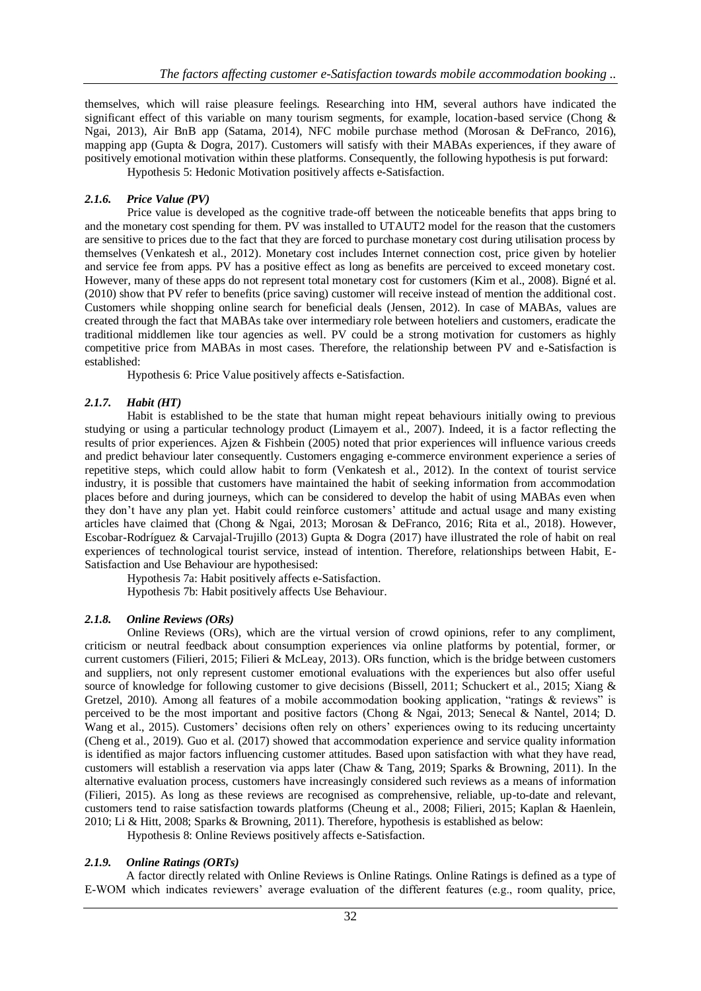themselves, which will raise pleasure feelings. Researching into HM, several authors have indicated the significant effect of this variable on many tourism segments, for example, location-based service (Chong & Ngai, 2013), Air BnB app (Satama, 2014), NFC mobile purchase method (Morosan & DeFranco, 2016), mapping app (Gupta & Dogra, 2017). Customers will satisfy with their MABAs experiences, if they aware of positively emotional motivation within these platforms. Consequently, the following hypothesis is put forward: Hypothesis 5: Hedonic Motivation positively affects e-Satisfaction.

## *2.1.6. Price Value (PV)*

Price value is developed as the cognitive trade-off between the noticeable benefits that apps bring to and the monetary cost spending for them. PV was installed to UTAUT2 model for the reason that the customers are sensitive to prices due to the fact that they are forced to purchase monetary cost during utilisation process by themselves (Venkatesh et al., 2012). Monetary cost includes Internet connection cost, price given by hotelier and service fee from apps. PV has a positive effect as long as benefits are perceived to exceed monetary cost. However, many of these apps do not represent total monetary cost for customers (Kim et al., 2008). Bigné et al. (2010) show that PV refer to benefits (price saving) customer will receive instead of mention the additional cost. Customers while shopping online search for beneficial deals (Jensen, 2012). In case of MABAs, values are created through the fact that MABAs take over intermediary role between hoteliers and customers, eradicate the traditional middlemen like tour agencies as well. PV could be a strong motivation for customers as highly competitive price from MABAs in most cases. Therefore, the relationship between PV and e-Satisfaction is established:

Hypothesis 6: Price Value positively affects e-Satisfaction.

## *2.1.7. Habit (HT)*

Habit is established to be the state that human might repeat behaviours initially owing to previous studying or using a particular technology product (Limayem et al., 2007). Indeed, it is a factor reflecting the results of prior experiences. Ajzen & Fishbein (2005) noted that prior experiences will influence various creeds and predict behaviour later consequently. Customers engaging e-commerce environment experience a series of repetitive steps, which could allow habit to form (Venkatesh et al., 2012). In the context of tourist service industry, it is possible that customers have maintained the habit of seeking information from accommodation places before and during journeys, which can be considered to develop the habit of using MABAs even when they don't have any plan yet. Habit could reinforce customers' attitude and actual usage and many existing articles have claimed that (Chong & Ngai, 2013; Morosan & DeFranco, 2016; Rita et al., 2018). However, Escobar-Rodríguez & Carvajal-Trujillo (2013) Gupta & Dogra (2017) have illustrated the role of habit on real experiences of technological tourist service, instead of intention. Therefore, relationships between Habit, E-Satisfaction and Use Behaviour are hypothesised:

Hypothesis 7a: Habit positively affects e-Satisfaction. Hypothesis 7b: Habit positively affects Use Behaviour.

## *2.1.8. Online Reviews (ORs)*

Online Reviews (ORs), which are the virtual version of crowd opinions, refer to any compliment, criticism or neutral feedback about consumption experiences via online platforms by potential, former, or current customers (Filieri, 2015; Filieri & McLeay, 2013). ORs function, which is the bridge between customers and suppliers, not only represent customer emotional evaluations with the experiences but also offer useful source of knowledge for following customer to give decisions (Bissell, 2011; Schuckert et al., 2015; Xiang & Gretzel, 2010). Among all features of a mobile accommodation booking application, "ratings & reviews" is perceived to be the most important and positive factors (Chong & Ngai, 2013; Senecal & Nantel, 2014; D. Wang et al., 2015). Customers' decisions often rely on others' experiences owing to its reducing uncertainty (Cheng et al., 2019). Guo et al. (2017) showed that accommodation experience and service quality information is identified as major factors influencing customer attitudes. Based upon satisfaction with what they have read, customers will establish a reservation via apps later (Chaw & Tang, 2019; Sparks & Browning, 2011). In the alternative evaluation process, customers have increasingly considered such reviews as a means of information (Filieri, 2015). As long as these reviews are recognised as comprehensive, reliable, up-to-date and relevant, customers tend to raise satisfaction towards platforms (Cheung et al., 2008; Filieri, 2015; Kaplan & Haenlein, 2010; Li & Hitt, 2008; Sparks & Browning, 2011). Therefore, hypothesis is established as below:

Hypothesis 8: Online Reviews positively affects e-Satisfaction.

## *2.1.9. Online Ratings (ORTs)*

A factor directly related with Online Reviews is Online Ratings. Online Ratings is defined as a type of E-WOM which indicates reviewers' average evaluation of the different features (e.g., room quality, price,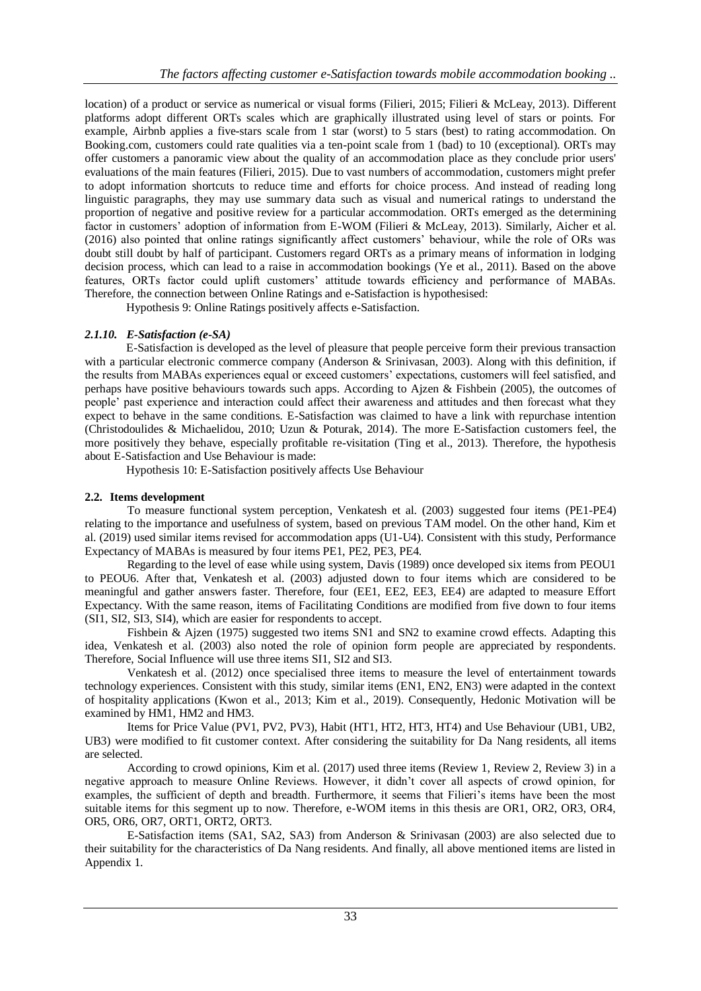location) of a product or service as numerical or visual forms (Filieri, 2015; Filieri & McLeay, 2013). Different platforms adopt different ORTs scales which are graphically illustrated using level of stars or points. For example, Airbnb applies a five-stars scale from 1 star (worst) to 5 stars (best) to rating accommodation. On Booking.com, customers could rate qualities via a ten-point scale from 1 (bad) to 10 (exceptional). ORTs may offer customers a panoramic view about the quality of an accommodation place as they conclude prior users' evaluations of the main features (Filieri, 2015). Due to vast numbers of accommodation, customers might prefer to adopt information shortcuts to reduce time and efforts for choice process. And instead of reading long linguistic paragraphs, they may use summary data such as visual and numerical ratings to understand the proportion of negative and positive review for a particular accommodation. ORTs emerged as the determining factor in customers' adoption of information from E-WOM (Filieri & McLeay, 2013). Similarly, Aicher et al. (2016) also pointed that online ratings significantly affect customers' behaviour, while the role of ORs was doubt still doubt by half of participant. Customers regard ORTs as a primary means of information in lodging decision process, which can lead to a raise in accommodation bookings (Ye et al., 2011). Based on the above features, ORTs factor could uplift customers' attitude towards efficiency and performance of MABAs. Therefore, the connection between Online Ratings and e-Satisfaction is hypothesised:

Hypothesis 9: Online Ratings positively affects e-Satisfaction.

# *2.1.10. E-Satisfaction (e-SA)*

E-Satisfaction is developed as the level of pleasure that people perceive form their previous transaction with a particular electronic commerce company (Anderson & Srinivasan, 2003). Along with this definition, if the results from MABAs experiences equal or exceed customers' expectations, customers will feel satisfied, and perhaps have positive behaviours towards such apps. According to Ajzen & Fishbein (2005), the outcomes of people' past experience and interaction could affect their awareness and attitudes and then forecast what they expect to behave in the same conditions. E-Satisfaction was claimed to have a link with repurchase intention (Christodoulides & Michaelidou, 2010; Uzun & Poturak, 2014). The more E-Satisfaction customers feel, the more positively they behave, especially profitable re-visitation (Ting et al., 2013). Therefore, the hypothesis about E-Satisfaction and Use Behaviour is made:

Hypothesis 10: E-Satisfaction positively affects Use Behaviour

## **2.2. Items development**

To measure functional system perception, Venkatesh et al. (2003) suggested four items (PE1-PE4) relating to the importance and usefulness of system, based on previous TAM model. On the other hand, Kim et al. (2019) used similar items revised for accommodation apps (U1-U4). Consistent with this study, Performance Expectancy of MABAs is measured by four items PE1, PE2, PE3, PE4.

Regarding to the level of ease while using system, Davis (1989) once developed six items from PEOU1 to PEOU6. After that, Venkatesh et al. (2003) adjusted down to four items which are considered to be meaningful and gather answers faster. Therefore, four (EE1, EE2, EE3, EE4) are adapted to measure Effort Expectancy. With the same reason, items of Facilitating Conditions are modified from five down to four items (SI1, SI2, SI3, SI4), which are easier for respondents to accept.

Fishbein & Ajzen (1975) suggested two items SN1 and SN2 to examine crowd effects. Adapting this idea, Venkatesh et al. (2003) also noted the role of opinion form people are appreciated by respondents. Therefore, Social Influence will use three items SI1, SI2 and SI3.

Venkatesh et al. (2012) once specialised three items to measure the level of entertainment towards technology experiences. Consistent with this study, similar items (EN1, EN2, EN3) were adapted in the context of hospitality applications (Kwon et al., 2013; Kim et al., 2019). Consequently, Hedonic Motivation will be examined by HM1, HM2 and HM3.

Items for Price Value (PV1, PV2, PV3), Habit (HT1, HT2, HT3, HT4) and Use Behaviour (UB1, UB2, UB3) were modified to fit customer context. After considering the suitability for Da Nang residents, all items are selected.

According to crowd opinions, Kim et al. (2017) used three items (Review 1, Review 2, Review 3) in a negative approach to measure Online Reviews. However, it didn't cover all aspects of crowd opinion, for examples, the sufficient of depth and breadth. Furthermore, it seems that Filieri's items have been the most suitable items for this segment up to now. Therefore, e-WOM items in this thesis are OR1, OR2, OR3, OR4, OR5, OR6, OR7, ORT1, ORT2, ORT3.

E-Satisfaction items (SA1, SA2, SA3) from Anderson & Srinivasan (2003) are also selected due to their suitability for the characteristics of Da Nang residents. And finally, all above mentioned items are listed in Appendix 1.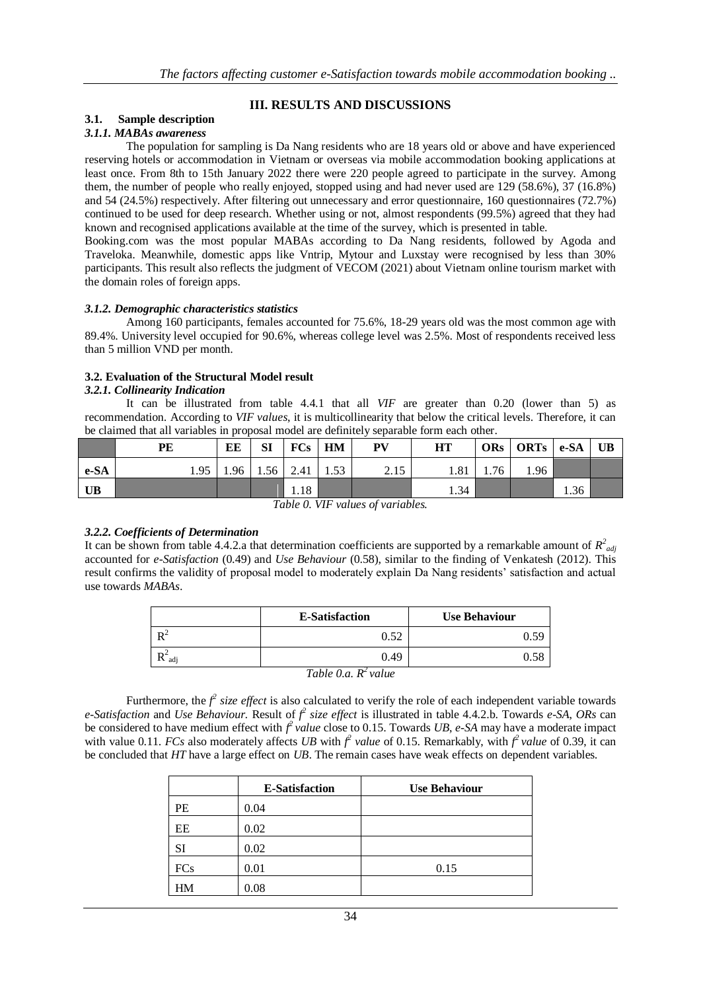# **III. RESULTS AND DISCUSSIONS**

# **3.1. Sample description**

## *3.1.1. MABAs awareness*

The population for sampling is Da Nang residents who are 18 years old or above and have experienced reserving hotels or accommodation in Vietnam or overseas via mobile accommodation booking applications at least once. From 8th to 15th January 2022 there were 220 people agreed to participate in the survey. Among them, the number of people who really enjoyed, stopped using and had never used are 129 (58.6%), 37 (16.8%) and 54 (24.5%) respectively. After filtering out unnecessary and error questionnaire, 160 questionnaires (72.7%) continued to be used for deep research. Whether using or not, almost respondents (99.5%) agreed that they had known and recognised applications available at the time of the survey, which is presented in table.

Booking.com was the most popular MABAs according to Da Nang residents, followed by Agoda and Traveloka. Meanwhile, domestic apps like Vntrip, Mytour and Luxstay were recognised by less than 30% participants. This result also reflects the judgment of VECOM (2021) about Vietnam online tourism market with the domain roles of foreign apps.

## *3.1.2. Demographic characteristics statistics*

Among 160 participants, females accounted for 75.6%, 18-29 years old was the most common age with 89.4%. University level occupied for 90.6%, whereas college level was 2.5%. Most of respondents received less than 5 million VND per month.

## **3.2. Evaluation of the Structural Model result**

## *3.2.1. Collinearity Indication*

It can be illustrated from table 4.4.1 that all *VIF* are greater than 0.20 (lower than 5) as recommendation. According to *VIF values*, it is multicollinearity that below the critical levels. Therefore, it can be claimed that all variables in proposal model are definitely separable form each other.

|      | PE   | EE   | <b>SI</b> | $FCs$ $HM$ |      | <b>PV</b> | <b>HT</b> |      | ORs   ORTs   e-SA |      | UB |
|------|------|------|-----------|------------|------|-----------|-----------|------|-------------------|------|----|
| e-SA | 1.95 | 1.96 | 1.56      | 2.41       | 1.53 | 2.15      | 1.81      | 1.76 | 1.96              |      |    |
| UB   |      |      |           | 1.18       |      |           | 1.34      |      |                   | 1.36 |    |

*Table 0. VIF values of variables.*

## *3.2.2. Coefficients of Determination*

It can be shown from table 4.4.2.a that determination coefficients are supported by a remarkable amount of  $R^2_{adj}$ accounted for *e-Satisfaction* (0.49) and *Use Behaviour* (0.58), similar to the finding of Venkatesh (2012). This result confirms the validity of proposal model to moderately explain Da Nang residents' satisfaction and actual use towards *MABAs*.

|                                    | <b>E-Satisfaction</b> | <b>Use Behaviour</b> |  |  |  |  |
|------------------------------------|-----------------------|----------------------|--|--|--|--|
| $\mathbf{D}^2$                     | 0.52                  |                      |  |  |  |  |
| n <sup>2</sup><br>$\mathbf{R}$ adj | 0.49                  |                      |  |  |  |  |
| Table 0.a. $R^2$ value             |                       |                      |  |  |  |  |

Furthermore, the  $f^2$  *size effect* is also calculated to verify the role of each independent variable towards *e*-Satisfaction and *Use Behaviour.* Result of  $f^2$  size effect is illustrated in table 4.4.2.b. Towards *e-SA*, *ORs* can be considered to have medium effect with  $f^2$  *value* close to 0.15. Towards *UB*, *e-SA* may have a moderate impact with value 0.11. *FCs* also moderately affects *UB* with  $f^2$  *value* of 0.15. Remarkably, with  $f^2$  *value* of 0.39, it can be concluded that *HT* have a large effect on *UB*. The remain cases have weak effects on dependent variables*.* 

|            | <b>E-Satisfaction</b> | <b>Use Behaviour</b> |
|------------|-----------------------|----------------------|
| PE         | 0.04                  |                      |
| EE         | 0.02                  |                      |
| SI         | 0.02                  |                      |
| <b>FCs</b> | 0.01                  | 0.15                 |
| HМ         | 0.08                  |                      |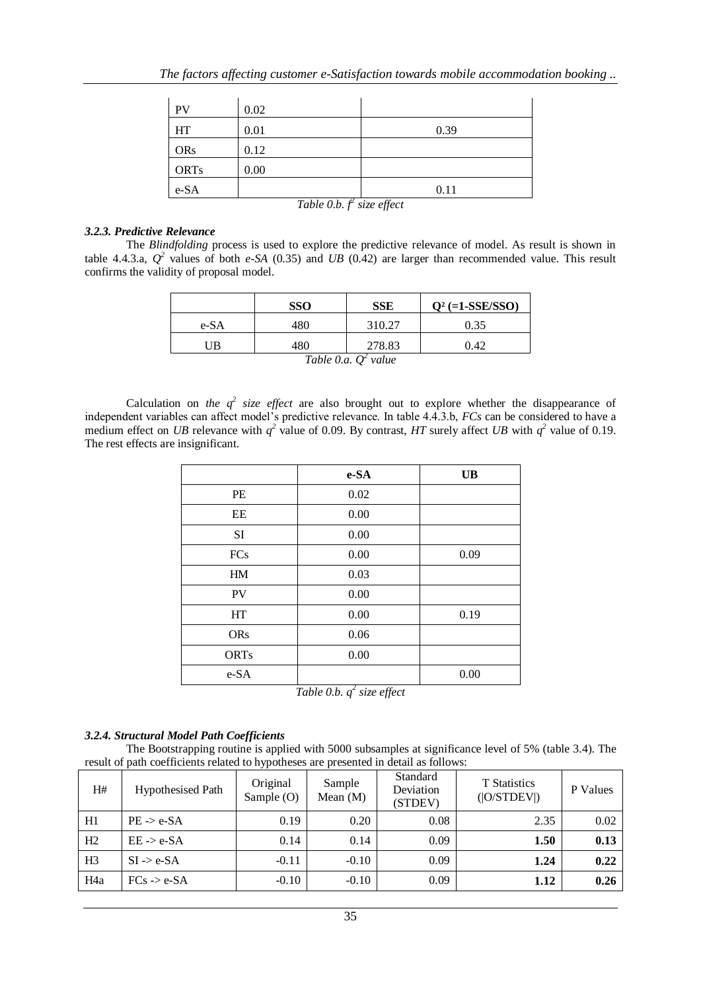| PV          | 0.02       |      |
|-------------|------------|------|
| HT          | 0.01       | 0.39 |
| <b>ORs</b>  | 0.12       |      |
| <b>ORTs</b> | 0.00       |      |
| e-SA        | — <i>.</i> | 0.11 |

*Table 0.b. f<sup>2</sup> size effect*

#### *3.2.3. Predictive Relevance*

The *Blindfolding* process is used to explore the predictive relevance of model. As result is shown in table 4.4.3.a,  $Q^2$  values of both *e-SA* (0.35) and *UB* (0.42) are larger than recommended value. This result confirms the validity of proposal model.

|      | <b>SSO</b> | <b>SSE</b> | $Q^2$ (=1-SSE/SSO) |
|------|------------|------------|--------------------|
| e-SA | 480        | 310.27     | 0.35               |
| UB   | 480        | 278.83     | 0.42               |

*Table 0.a. Q<sup>2</sup> value*

Calculation on *the*  $q^2$  *size effect* are also brought out to explore whether the disappearance of independent variables can affect model's predictive relevance. In table 4.4.3.b, *FCs* can be considered to have a medium effect on *UB* relevance with  $q^2$  value of 0.09. By contrast, *HT* surely affect *UB* with  $q^2$  value of 0.19. The rest effects are insignificant.

|             | e-SA                     | <b>UB</b> |
|-------------|--------------------------|-----------|
| PE          | 0.02                     |           |
| EE          | 0.00                     |           |
| SI          | 0.00                     |           |
| <b>FCs</b>  | 0.00                     | 0.09      |
| HM          | 0.03                     |           |
| PV          | 0.00                     |           |
| HT          | 0.00                     | 0.19      |
| <b>ORs</b>  | 0.06                     |           |
| <b>ORTs</b> | 0.00                     |           |
| e-SA        | $\overline{\phantom{0}}$ | 0.00      |

*Table 0.b. q 2 size effect*

## *3.2.4. Structural Model Path Coefficients*

The Bootstrapping routine is applied with 5000 subsamples at significance level of 5% (table 3.4). The result of path coefficients related to hypotheses are presented in detail as follows:

| H#               | <b>Hypothesised Path</b> | Original<br>Sample (O) | Sample<br>Mean $(M)$ | Standard<br>Deviation<br>(STDEV) | <b>T</b> Statistics<br>( O/STDEV ) | P Values |
|------------------|--------------------------|------------------------|----------------------|----------------------------------|------------------------------------|----------|
| H1               | $PE \rightarrow e-SA$    | 0.19                   | 0.20                 | 0.08                             | 2.35                               | 0.02     |
| H2               | $EE \rightarrow e-SA$    | 0.14                   | 0.14                 | 0.09                             | 1.50                               | 0.13     |
| H <sub>3</sub>   | $SI \rightarrow e-SA$    | $-0.11$                | $-0.10$              | 0.09                             | 1.24                               | 0.22     |
| H <sub>4</sub> a | $FCs \rightarrow e-SA$   | $-0.10$                | $-0.10$              | 0.09                             | 1.12                               | 0.26     |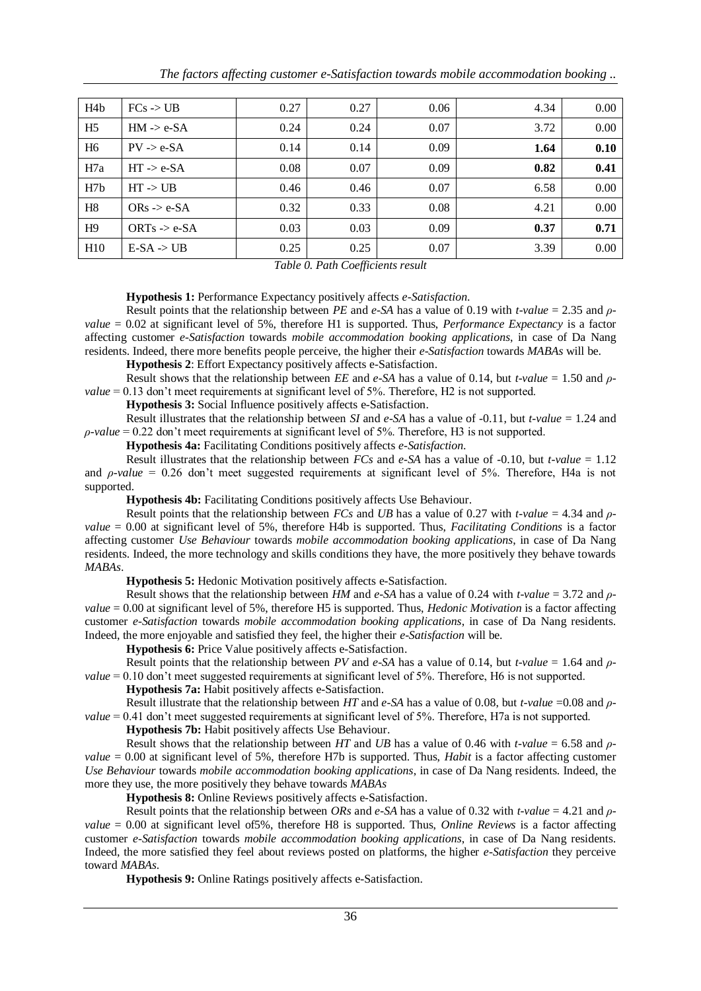| H <sub>4</sub> b | $FCs$ -> $UB$           | 0.27 | 0.27 | 0.06 | 4.34 | 0.00 |
|------------------|-------------------------|------|------|------|------|------|
| H <sub>5</sub>   | $HM \rightarrow e-SA$   | 0.24 | 0.24 | 0.07 | 3.72 | 0.00 |
| H <sub>6</sub>   | $PV \rightarrow e-SA$   | 0.14 | 0.14 | 0.09 | 1.64 | 0.10 |
| H7a              | $HT \rightarrow e-SA$   | 0.08 | 0.07 | 0.09 | 0.82 | 0.41 |
| H <sub>7</sub> b | $HT \rightarrow UB$     | 0.46 | 0.46 | 0.07 | 6.58 | 0.00 |
| H <sub>8</sub>   | $ORS \rightarrow e-SA$  | 0.32 | 0.33 | 0.08 | 4.21 | 0.00 |
| H9               | ORTs $\rightarrow$ e-SA | 0.03 | 0.03 | 0.09 | 0.37 | 0.71 |
| H <sub>10</sub>  | $E-SA \rightarrow UB$   | 0.25 | 0.25 | 0.07 | 3.39 | 0.00 |

*Table 0. Path Coefficients result*

#### **Hypothesis 1:** Performance Expectancy positively affects *e-Satisfaction*.

Result points that the relationship between *PE* and *e-SA* has a value of 0.19 with *t-value* = 2.35 and *ρvalue* = 0.02 at significant level of 5%, therefore H1 is supported. Thus, *Performance Expectancy* is a factor affecting customer *e-Satisfaction* towards *mobile accommodation booking applications*, in case of Da Nang residents. Indeed, there more benefits people perceive, the higher their *e-Satisfaction* towards *MABAs* will be.

**Hypothesis 2**: Effort Expectancy positively affects e-Satisfaction.

Result shows that the relationship between *EE* and *e-SA* has a value of 0.14, but *t-value* = 1.50 and *ρvalue* = 0.13 don't meet requirements at significant level of 5%. Therefore, H2 is not supported.

**Hypothesis 3:** Social Influence positively affects e-Satisfaction.

Result illustrates that the relationship between *SI* and *e-SA* has a value of -0.11, but *t-value* = 1.24 and *ρ-value* = 0.22 don't meet requirements at significant level of 5%. Therefore, H3 is not supported.

**Hypothesis 4a:** Facilitating Conditions positively affects *e-Satisfaction*.

Result illustrates that the relationship between *FCs* and *e-SA* has a value of -0.10, but *t-value* = 1.12 and *ρ-value* = 0.26 don't meet suggested requirements at significant level of 5%. Therefore, H4a is not supported.

**Hypothesis 4b:** Facilitating Conditions positively affects Use Behaviour.

Result points that the relationship between *FCs* and *UB* has a value of 0.27 with *t-value* = 4.34 and *ρvalue* = 0.00 at significant level of 5%, therefore H4b is supported. Thus, *Facilitating Conditions* is a factor affecting customer *Use Behaviour* towards *mobile accommodation booking applications*, in case of Da Nang residents. Indeed, the more technology and skills conditions they have, the more positively they behave towards *MABAs*.

**Hypothesis 5:** Hedonic Motivation positively affects e-Satisfaction.

Result shows that the relationship between *HM* and *e-SA* has a value of 0.24 with *t-value* = 3.72 and *ρvalue* = 0.00 at significant level of 5%, therefore H5 is supported. Thus, *Hedonic Motivation* is a factor affecting customer *e-Satisfaction* towards *mobile accommodation booking applications*, in case of Da Nang residents. Indeed, the more enjoyable and satisfied they feel, the higher their *e-Satisfaction* will be.

**Hypothesis 6:** Price Value positively affects e-Satisfaction.

Result points that the relationship between *PV* and *e-SA* has a value of 0.14, but *t-value* = 1.64 and *ρvalue* = 0.10 don't meet suggested requirements at significant level of 5%. Therefore, H6 is not supported.

**Hypothesis 7a:** Habit positively affects e-Satisfaction.

Result illustrate that the relationship between *HT* and *e-SA* has a value of 0.08, but *t-value* =0.08 and *ρvalue* = 0.41 don't meet suggested requirements at significant level of 5%. Therefore, H7a is not supported.

**Hypothesis 7b:** Habit positively affects Use Behaviour.

Result shows that the relationship between *HT* and *UB* has a value of 0.46 with *t-value* = 6.58 and *ρvalue* = 0.00 at significant level of 5%, therefore H7b is supported. Thus, *Habit* is a factor affecting customer *Use Behaviour* towards *mobile accommodation booking applications*, in case of Da Nang residents. Indeed, the more they use, the more positively they behave towards *MABAs*

**Hypothesis 8:** Online Reviews positively affects e-Satisfaction.

Result points that the relationship between *ORs* and *e-SA* has a value of 0.32 with *t-value* = 4.21 and *ρvalue* = 0.00 at significant level of5%, therefore H8 is supported. Thus, *Online Reviews* is a factor affecting customer *e-Satisfaction* towards *mobile accommodation booking applications*, in case of Da Nang residents. Indeed, the more satisfied they feel about reviews posted on platforms, the higher *e-Satisfaction* they perceive toward *MABAs*.

**Hypothesis 9:** Online Ratings positively affects e-Satisfaction.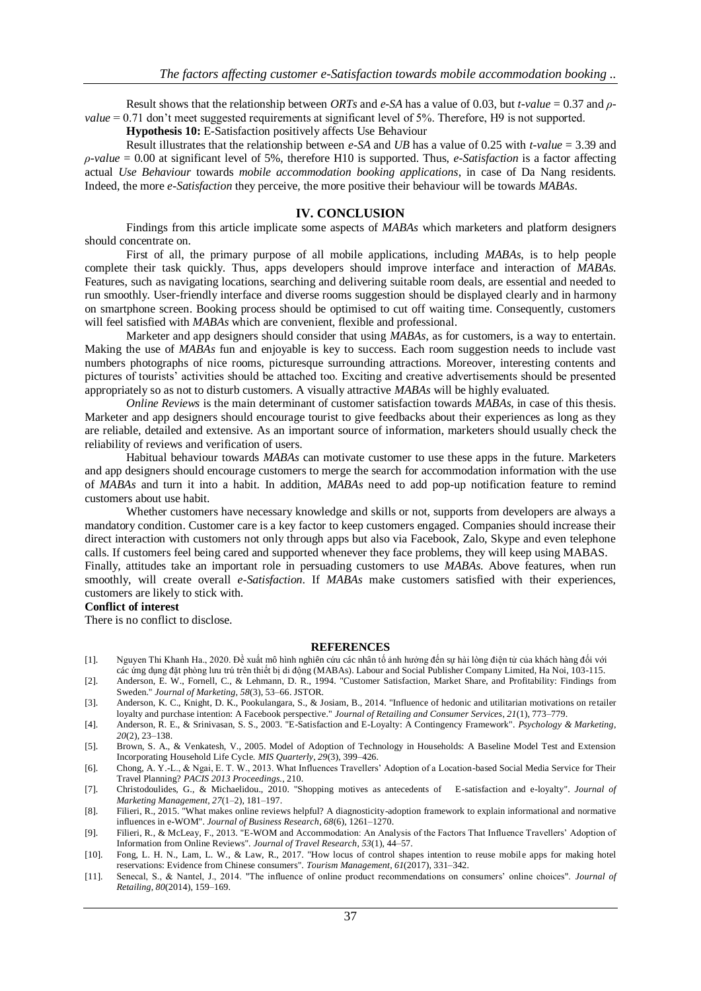Result shows that the relationship between *ORTs* and *e-SA* has a value of 0.03, but *t-value* = 0.37 and *ρvalue* = 0.71 don't meet suggested requirements at significant level of 5%. Therefore, H9 is not supported.

**Hypothesis 10:** E-Satisfaction positively affects Use Behaviour

Result illustrates that the relationship between *e-SA* and *UB* has a value of 0.25 with *t-value* = 3.39 and *ρ-value* = 0.00 at significant level of 5%, therefore H10 is supported. Thus, *e-Satisfaction* is a factor affecting actual *Use Behaviour* towards *mobile accommodation booking applications*, in case of Da Nang residents. Indeed, the more *e-Satisfaction* they perceive, the more positive their behaviour will be towards *MABAs*.

#### **IV. CONCLUSION**

Findings from this article implicate some aspects of *MABAs* which marketers and platform designers should concentrate on.

First of all, the primary purpose of all mobile applications, including *MABAs*, is to help people complete their task quickly. Thus, apps developers should improve interface and interaction of *MABAs*. Features, such as navigating locations, searching and delivering suitable room deals, are essential and needed to run smoothly. User-friendly interface and diverse rooms suggestion should be displayed clearly and in harmony on smartphone screen. Booking process should be optimised to cut off waiting time. Consequently, customers will feel satisfied with *MABAs* which are convenient, flexible and professional.

Marketer and app designers should consider that using *MABAs*, as for customers, is a way to entertain. Making the use of *MABAs* fun and enjoyable is key to success. Each room suggestion needs to include vast numbers photographs of nice rooms, picturesque surrounding attractions. Moreover, interesting contents and pictures of tourists' activities should be attached too. Exciting and creative advertisements should be presented appropriately so as not to disturb customers. A visually attractive *MABAs* will be highly evaluated.

*Online Reviews* is the main determinant of customer satisfaction towards *MABAs*, in case of this thesis. Marketer and app designers should encourage tourist to give feedbacks about their experiences as long as they are reliable, detailed and extensive. As an important source of information, marketers should usually check the reliability of reviews and verification of users.

Habitual behaviour towards *MABAs* can motivate customer to use these apps in the future. Marketers and app designers should encourage customers to merge the search for accommodation information with the use of *MABAs* and turn it into a habit. In addition, *MABAs* need to add pop-up notification feature to remind customers about use habit.

Whether customers have necessary knowledge and skills or not, supports from developers are always a mandatory condition. Customer care is a key factor to keep customers engaged. Companies should increase their direct interaction with customers not only through apps but also via Facebook, Zalo, Skype and even telephone calls. If customers feel being cared and supported whenever they face problems, they will keep using MABAS. Finally, attitudes take an important role in persuading customers to use *MABAs*. Above features, when run smoothly, will create overall *e-Satisfaction*. If *MABAs* make customers satisfied with their experiences, customers are likely to stick with*.*

## **Conflict of interest**

There is no conflict to disclose.

#### **REFERENCES**

- [1]. Nguyen Thi Khanh Ha., 2020. Đề xuất mô hình nghiên cứu các nhân tố ảnh hưởng đến sự hài lòng điện tử của khách hàng đối với các ứng dụng đặt phòng lưu trú trên thiết bị di động (MABAs). Labour and Social Publisher Company Limited, Ha Noi, 103-115.
- [2]. Anderson, E. W., Fornell, C., & Lehmann, D. R., 1994. "Customer Satisfaction, Market Share, and Profitability: Findings from Sweden." *Journal of Marketing*, *58*(3), 53–66. JSTOR.
- [3]. Anderson, K. C., Knight, D. K., Pookulangara, S., & Josiam, B., 2014. "Influence of hedonic and utilitarian motivations on retailer loyalty and purchase intention: A Facebook perspective." *Journal of Retailing and Consumer Services*, *21*(1), 773–779.
- [4]. Anderson, R. E., & Srinivasan, S. S., 2003. "E-Satisfaction and E-Loyalty: A Contingency Framework". *Psychology & Marketing*, *20*(2), 23–138.
- [5]. Brown, S. A., & Venkatesh, V., 2005. Model of Adoption of Technology in Households: A Baseline Model Test and Extension Incorporating Household Life Cycle. *MIS Quarterly*, *29*(3), 399–426.
- [6]. Chong, A. Y.-L., & Ngai, E. T. W., 2013. What Influences Travellers' Adoption of a Location-based Social Media Service for Their Travel Planning? *PACIS 2013 Proceedings.*, 210.
- [7]. Christodoulides, G., & Michaelidou., 2010. "Shopping motives as antecedents of E-satisfaction and e-loyalty". *Journal of Marketing Management*, *27*(1–2), 181–197.
- [8]. Filieri, R., 2015. "What makes online reviews helpful? A diagnosticity-adoption framework to explain informational and normative influences in e-WOM". *Journal of Business Research*, *68*(6), 1261–1270.
- [9]. Filieri, R., & McLeay, F., 2013. "E-WOM and Accommodation: An Analysis of the Factors That Influence Travellers' Adoption of Information from Online Reviews". *Journal of Travel Research*, *53*(1), 44–57.
- [10]. Fong, L. H. N., Lam, L. W., & Law, R., 2017. "How locus of control shapes intention to reuse mobile apps for making hotel reservations: Evidence from Chinese consumers". *Tourism Management*, *61*(2017), 331–342.
- [11]. Senecal, S., & Nantel, J., 2014. "The influence of online product recommendations on consumers' online choices". *Journal of Retailing*, *80*(2014), 159–169.